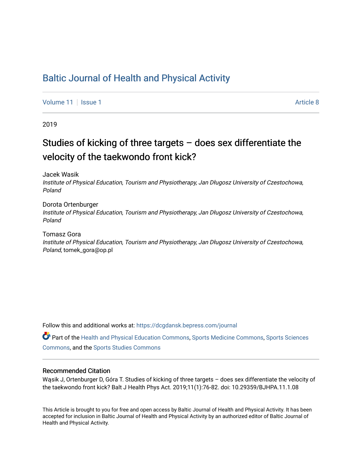# [Baltic Journal of Health and Physical Activity](https://dcgdansk.bepress.com/journal)

[Volume 11](https://dcgdansk.bepress.com/journal/vol11) | [Issue 1](https://dcgdansk.bepress.com/journal/vol11/iss1) Article 8

2019

# Studies of kicking of three targets – does sex differentiate the velocity of the taekwondo front kick?

Jacek Wasik

Institute of Physical Education, Tourism and Physiotherapy, Jan Długosz University of Czestochowa, Poland

Dorota Ortenburger Institute of Physical Education, Tourism and Physiotherapy, Jan Długosz University of Czestochowa, Poland

Tomasz Gora Institute of Physical Education, Tourism and Physiotherapy, Jan Długosz University of Czestochowa, Poland, tomek\_gora@op.pl

Follow this and additional works at: [https://dcgdansk.bepress.com/journal](https://dcgdansk.bepress.com/journal?utm_source=dcgdansk.bepress.com%2Fjournal%2Fvol11%2Fiss1%2F8&utm_medium=PDF&utm_campaign=PDFCoverPages)

Part of the [Health and Physical Education Commons](http://network.bepress.com/hgg/discipline/1327?utm_source=dcgdansk.bepress.com%2Fjournal%2Fvol11%2Fiss1%2F8&utm_medium=PDF&utm_campaign=PDFCoverPages), [Sports Medicine Commons,](http://network.bepress.com/hgg/discipline/1331?utm_source=dcgdansk.bepress.com%2Fjournal%2Fvol11%2Fiss1%2F8&utm_medium=PDF&utm_campaign=PDFCoverPages) [Sports Sciences](http://network.bepress.com/hgg/discipline/759?utm_source=dcgdansk.bepress.com%2Fjournal%2Fvol11%2Fiss1%2F8&utm_medium=PDF&utm_campaign=PDFCoverPages) [Commons](http://network.bepress.com/hgg/discipline/759?utm_source=dcgdansk.bepress.com%2Fjournal%2Fvol11%2Fiss1%2F8&utm_medium=PDF&utm_campaign=PDFCoverPages), and the [Sports Studies Commons](http://network.bepress.com/hgg/discipline/1198?utm_source=dcgdansk.bepress.com%2Fjournal%2Fvol11%2Fiss1%2F8&utm_medium=PDF&utm_campaign=PDFCoverPages) 

#### Recommended Citation

Wąsik J, Ortenburger D, Góra T. Studies of kicking of three targets – does sex differentiate the velocity of the taekwondo front kick? Balt J Health Phys Act. 2019;11(1):76-82. doi: 10.29359/BJHPA.11.1.08

This Article is brought to you for free and open access by Baltic Journal of Health and Physical Activity. It has been accepted for inclusion in Baltic Journal of Health and Physical Activity by an authorized editor of Baltic Journal of Health and Physical Activity.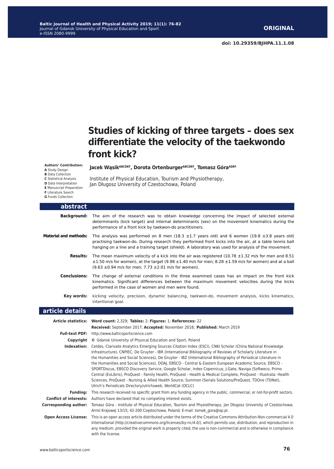# **Studies of kicking of three targets – does sex differentiate the velocity of the taekwondo front kick?**

**Authors' Contribution:**

- 
- **A** Study Design **B** Data Collection
- **C** Statistical Analysis
- **D** Data Interpretation
- **E** Manuscript Preparation
- **F** Literature Search
- **G** Funds Collection

Jacek Wąsik<sup>ABCDEF</sup>, Dorota Ortenburger<sup>ABCDEF</sup>, Tomasz Góra<sup>ADEF</sup>

Institute of Physical Education, Tourism and Physiotherapy, Jan Długosz University of Czestochowa, Poland

| abstract                      |                                                                                                                                                                                                                                                                                                                                                                                                                                                                                                                                                                                                                                                                                                                                                                                                                                                                           |
|-------------------------------|---------------------------------------------------------------------------------------------------------------------------------------------------------------------------------------------------------------------------------------------------------------------------------------------------------------------------------------------------------------------------------------------------------------------------------------------------------------------------------------------------------------------------------------------------------------------------------------------------------------------------------------------------------------------------------------------------------------------------------------------------------------------------------------------------------------------------------------------------------------------------|
| <b>Background:</b>            | The aim of the research was to obtain knowledge concerning the impact of selected external<br>determinants (kick target) and internal determinants (sex) on the movement kinematics during the<br>performance of a front kick by taekwon-do practitioners.                                                                                                                                                                                                                                                                                                                                                                                                                                                                                                                                                                                                                |
| <b>Material and methods:</b>  | The analysis was performed on 8 men (18.3 $\pm$ 1.7 years old) and 6 women (19.8 $\pm$ 3.8 years old)<br>practising taekwon-do. During research they performed front kicks into the air, at a table tennis ball<br>hanging on a line and a training target (shield). A laboratory was used for analysis of the movement.                                                                                                                                                                                                                                                                                                                                                                                                                                                                                                                                                  |
| <b>Results:</b>               | The mean maximum velocity of a kick into the air was registered (10.78 $\pm$ 1.32 m/s for men and 8.51<br>$\pm 1.50$ m/s for women), at the target (9.98 $\pm 1.40$ m/s for men; 8.28 $\pm 1.59$ m/s for women) and at a ball<br>$(9.63 \pm 0.94 \text{ m/s}$ for men; 7.73 $\pm 2.01$ m/s for women).                                                                                                                                                                                                                                                                                                                                                                                                                                                                                                                                                                    |
| <b>Conclusions:</b>           | The change of external conditions in the three examined cases has an impact on the front kick<br>kinematics. Significant differences between the maximum movement velocities during the kicks<br>performed in the case of women and men were found.                                                                                                                                                                                                                                                                                                                                                                                                                                                                                                                                                                                                                       |
| Key words:                    | kicking velocity, precision, dynamic balancing, taekwon-do, movement analysis, kicks kinematics,<br>intentional goal.                                                                                                                                                                                                                                                                                                                                                                                                                                                                                                                                                                                                                                                                                                                                                     |
| article details               |                                                                                                                                                                                                                                                                                                                                                                                                                                                                                                                                                                                                                                                                                                                                                                                                                                                                           |
|                               | Article statistics: Word count: 2,329; Tables: 2; Figures: 1; References: 22<br>Received: September 2017; Accepted: November 2018; Published: March 2019                                                                                                                                                                                                                                                                                                                                                                                                                                                                                                                                                                                                                                                                                                                  |
|                               | Full-text PDF: http://www.balticsportscience.com                                                                                                                                                                                                                                                                                                                                                                                                                                                                                                                                                                                                                                                                                                                                                                                                                          |
|                               | <b>Copyright</b> © Gdansk University of Physical Education and Sport, Poland                                                                                                                                                                                                                                                                                                                                                                                                                                                                                                                                                                                                                                                                                                                                                                                              |
|                               | Indexation: Celdes, Clarivate Analytics Emerging Sources Citation Index (ESCI), CNKI Scholar (China National Knowledge<br>Infrastructure), CNPIEC, De Gruyter - IBR (International Bibliography of Reviews of Scholarly Literature in<br>the Humanities and Social Sciences), De Gruyter - IBZ (International Bibliography of Periodical Literature in<br>the Humanities and Social Sciences), DOAJ, EBSCO - Central & Eastern European Academic Source, EBSCO -<br>SPORTDiscus, EBSCO Discovery Service, Google Scholar, Index Copernicus, J-Gate, Naviga (Softweco, Primo<br>Central (ExLibris), ProQuest - Family Health, ProQuest - Health & Medical Complete, ProQuest - Illustrata: Health<br>Sciences, ProQuest - Nursing & Allied Health Source, Summon (Serials Solutions/ProQuest, TDOne (TDNet),<br>Ulrich's Periodicals Directory/ulrichsweb, WorldCat (OCLC) |
| Fundina:                      | This research received no specific grant from any funding agency in the public, commercial, or not-for-profit sectors.                                                                                                                                                                                                                                                                                                                                                                                                                                                                                                                                                                                                                                                                                                                                                    |
| <b>Conflict of interests:</b> | Authors have declared that no competing interest exists.                                                                                                                                                                                                                                                                                                                                                                                                                                                                                                                                                                                                                                                                                                                                                                                                                  |
| <b>Corresponding author:</b>  | Tomasz Góra - Institute of Physical Education, Tourism and Physiotherapy, Jan Długosz University of Czestochowa;<br>Armii Krajowej 13/15; 42-200 Częstochowa, Poland; E-mail: tomek gora@op.pl.                                                                                                                                                                                                                                                                                                                                                                                                                                                                                                                                                                                                                                                                           |
| <b>Open Access License:</b>   | This is an open access article distributed under the terms of the Creative Commons Attribution-Non-commercial 4.0<br>International (http://creativecommons.org/licenses/by-nc/4.0/), which permits use, distribution, and reproduction in<br>any medium, provided the original work is properly cited, the use is non-commercial and is otherwise in compliance<br>with the license.                                                                                                                                                                                                                                                                                                                                                                                                                                                                                      |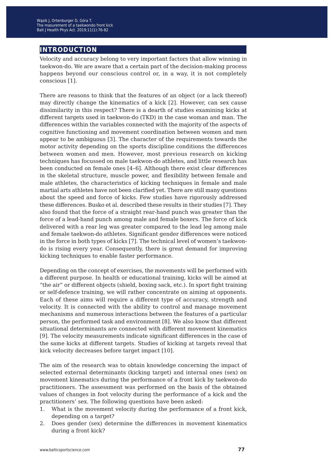# **introduction**

Velocity and accuracy belong to very important factors that allow winning in taekwon-do. We are aware that a certain part of the decision-making process happens beyond our conscious control or, in a way, it is not completely conscious [1].

There are reasons to think that the features of an object (or a lack thereof) may directly change the kinematics of a kick [2]. However, can sex cause dissimilarity in this respect? There is a dearth of studies examining kicks at different targets used in taekwon-do (TKD) in the case woman and man. The differences within the variables connected with the majority of the aspects of cognitive functioning and movement coordination between women and men appear to be ambiguous [3]. The character of the requirements towards the motor activity depending on the sports discipline conditions the differences between women and men. However, most previous research on kicking techniques has focussed on male taekwon-do athletes, and little research has been conducted on female ones [4–6]. Although there exist clear differences in the skeletal structure, muscle power, and flexibility between female and male athletes, the characteristics of kicking techniques in female and male martial arts athletes have not been clarified yet. There are still many questions about the speed and force of kicks. Few studies have rigorously addressed these differences. Busko et al. described these results in their studies [7]. They also found that the force of a straight rear-hand punch was greater than the force of a lead-hand punch among male and female boxers. The force of kick delivered with a rear leg was greater compared to the lead leg among male and female taekwon-do athletes. Significant gender differences were noticed in the force in both types of kicks [7]. The technical level of women's taekwondo is rising every year. Consequently, there is great demand for improving kicking techniques to enable faster performance.

Depending on the concept of exercises, the movements will be performed with a different purpose. In health or educational training, kicks will be aimed at "the air" or different objects (shield, boxing sack, etc.). In sport fight training or self-defence training, we will rather concentrate on aiming at opponents. Each of these aims will require a different type of accuracy, strength and velocity. It is connected with the ability to control and manage movement mechanisms and numerous interactions between the features of a particular person, the performed task and environment [8]. We also know that different situational determinants are connected with different movement kinematics [9]. The velocity measurements indicate significant differences in the case of the same kicks at different targets. Studies of kicking at targets reveal that kick velocity decreases before target impact [10].

The aim of the research was to obtain knowledge concerning the impact of selected external determinants (kicking target) and internal ones (sex) on movement kinematics during the performance of a front kick by taekwon-do practitioners. The assessment was performed on the basis of the obtained values of changes in foot velocity during the performance of a kick and the practitioners' sex. The following questions have been asked:

- 1. What is the movement velocity during the performance of a front kick, depending on a target?
- 2. Does gender (sex) determine the differences in movement kinematics during a front kick?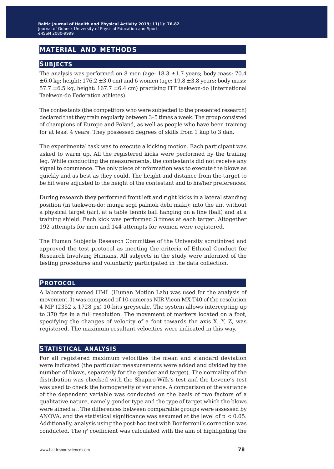# **material and methods**

### **subjects**

The analysis was performed on 8 men (age:  $18.3 \pm 1.7$  years; body mass:  $70.4$  $\pm 6.0$  kg; height: 176.2  $\pm 3.0$  cm) and 6 women (age: 19.8  $\pm 3.8$  years; body mass: 57.7  $\pm$ 6.5 kg, height: 167.7  $\pm$ 6.4 cm) practising ITF taekwon-do (International Taekwon-do Federation athletes).

The contestants (the competitors who were subjected to the presented research) declared that they train regularly between 3–5 times a week. The group consisted of champions of Europe and Poland, as well as people who have been training for at least 4 years. They possessed degrees of skills from 1 kup to 3 dan.

The experimental task was to execute a kicking motion. Each participant was asked to warm up. All the registered kicks were performed by the trailing leg. While conducting the measurements, the contestants did not receive any signal to commence. The only piece of information was to execute the blows as quickly and as best as they could. The height and distance from the target to be hit were adjusted to the height of the contestant and to his/her preferences.

During research they performed front left and right kicks in a lateral standing position (in taekwon-do: niunja sogi palmok debi maki): into the air, without a physical target (air), at a table tennis ball hanging on a line (ball) and at a training shield. Each kick was performed 3 times at each target. Altogether 192 attempts for men and 144 attempts for women were registered.

The Human Subjects Research Committee of the University scrutinized and approved the test protocol as meeting the criteria of Ethical Conduct for Research Involving Humans. All subjects in the study were informed of the testing procedures and voluntarily participated in the data collection.

#### **protocol**

A laboratory named HML (Human Motion Lab) was used for the analysis of movement. It was composed of 10 cameras NIR Vicon MX-T40 of the resolution 4 MP (2352 x 1728 px) 10-bits greyscale. The system allows intercepting up to 370 fps in a full resolution. The movement of markers located on a foot, specifying the changes of velocity of a foot towards the axis X, Y, Z, was registered. The maximum resultant velocities were indicated in this way.

### **statistical analysis**

For all registered maximum velocities the mean and standard deviation were indicated (the particular measurements were added and divided by the number of blows, separately for the gender and target). The normality of the distribution was checked with the Shapiro-Wilk's test and the Levene's test was used to check the homogeneity of variance. A comparison of the variance of the dependent variable was conducted on the basis of two factors of a qualitative nature, namely gender type and the type of target which the blows were aimed at. The differences between comparable groups were assessed by ANOVA, and the statistical significance was assumed at the level of p < 0.05. Additionally, analysis using the post-hoc test with Bonferroni's correction was conducted. The  $\eta^2$  coefficient was calculated with the aim of highlighting the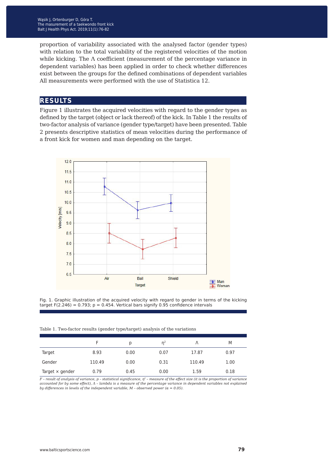proportion of variability associated with the analysed factor (gender types) with relation to the total variability of the registered velocities of the motion while kicking. The Λ coefficient (measurement of the percentage variance in dependent variables) has been applied in order to check whether differences exist between the groups for the defined combinations of dependent variables All measurements were performed with the use of Statistica 12.

#### **results**

Figure 1 illustrates the acquired velocities with regard to the gender types as defined by the target (object or lack thereof) of the kick. In Table 1 the results of two-factor analysis of variance (gender type/target) have been presented. Table 2 presents descriptive statistics of mean velocities during the performance of a front kick for women and man depending on the target.



Fig. 1. Graphic illustration of the acquired velocity with regard to gender in terms of the kicking target F(2.246) =  $0.793$ ; p =  $0.454$ . Vertical bars signify 0.95 confidence intervals

Table 1. Two-factor results (gender type/target) analysis of the variations

|                        |        | D    | n <sup>2</sup> |        | M    |
|------------------------|--------|------|----------------|--------|------|
| Target                 | 8.93   | 0.00 | 0.07           | 17.87  | 0.97 |
| Gender                 | 110.49 | 0.00 | 0.31           | 110.49 | 1.00 |
| Target $\times$ gender | 0.79   | 0.45 | 0.00           | 1.59   | 0.18 |

F - result of analysis of variance, p - statistical significance, η² - measure of the effect size (it is the proportion of variance<br>accounted for by some effect), A - lambda is a measure of the percentage variance in depen *by differences in levels of the independent variable, M – observed power (α = 0.05).*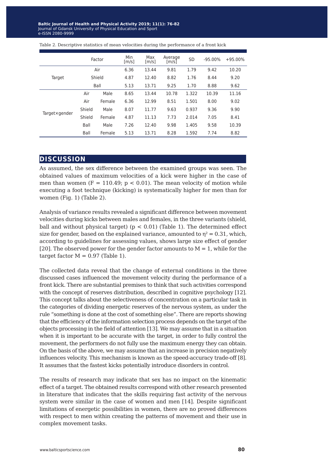|               | Factor |        | Min<br>$\lceil m/s \rceil$ | Max<br>$\lceil m/s \rceil$ | Average<br>[m/s] | <b>SD</b> | $-95.00%$ | $+95.00%$ |
|---------------|--------|--------|----------------------------|----------------------------|------------------|-----------|-----------|-----------|
| Target        | Air    |        | 6.36                       | 13.44                      | 9.81             | 1.79      | 9.42      | 10.20     |
|               | Shield |        | 4.87                       | 12.40                      | 8.82             | 1.76      | 8.44      | 9.20      |
|               | Ball   |        | 5.13                       | 13.71                      | 9.25             | 1.70      | 8.88      | 9.62      |
| Targetxgender | Air    | Male   | 8.65                       | 13.44                      | 10.78            | 1.322     | 10.39     | 11.16     |
|               | Air    | Female | 6.36                       | 12.99                      | 8.51             | 1.501     | 8.00      | 9.02      |
|               | Shield | Male   | 8.07                       | 11.77                      | 9.63             | 0.937     | 9.36      | 9.90      |
|               | Shield | Female | 4.87                       | 11.13                      | 7.73             | 2.014     | 7.05      | 8.41      |
|               | Ball   | Male   | 7.26                       | 12.40                      | 9.98             | 1.405     | 9.58      | 10.39     |
|               | Ball   | Female | 5.13                       | 13.71                      | 8.28             | 1.592     | 7.74      | 8.82      |

Table 2. Descriptive statistics of mean velocities during the performance of a front kick

#### **discussion**

As assumed, the sex difference between the examined groups was seen. The obtained values of maximum velocities of a kick were higher in the case of men than women  $(F = 110.49; p < 0.01)$ . The mean velocity of motion while executing a foot technique (kicking) is systematically higher for men than for women (Fig. 1) (Table 2).

Analysis of variance results revealed a significant difference between movement velocities during kicks between males and females, in the three variants (shield, ball and without physical target)  $(p < 0.01)$  (Table 1). The determined effect size for gender, based on the explained variance, amounted to  $\eta^2 = 0.31$ , which, according to guidelines for assessing values, shows large size effect of gender [20]. The observed power for the gender factor amounts to  $M = 1$ , while for the target factor  $M = 0.97$  (Table 1).

The collected data reveal that the change of external conditions in the three discussed cases influenced the movement velocity during the performance of a front kick. There are substantial premises to think that such activities correspond with the concept of reserves distribution, described in cognitive psychology [12]. This concept talks about the selectiveness of concentration on a particular task in the categories of dividing energetic reserves of the nervous system, as under the rule "something is done at the cost of something else". There are reports showing that the efficiency of the information selection process depends on the target of the objects processing in the field of attention [13]. We may assume that in a situation when it is important to be accurate with the target, in order to fully control the movement, the performers do not fully use the maximum energy they can obtain. On the basis of the above, we may assume that an increase in precision negatively influences velocity. This mechanism is known as the speed-accuracy trade-off [8]. It assumes that the fastest kicks potentially introduce disorders in control.

The results of research may indicate that sex has no impact on the kinematic effect of a target. The obtained results correspond with other research presented in literature that indicates that the skills requiring fast activity of the nervous system were similar in the case of women and men [14]. Despite significant limitations of energetic possibilities in women, there are no proved differences with respect to men within creating the patterns of movement and their use in complex movement tasks.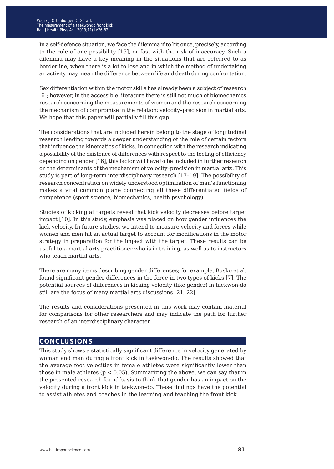In a self-defence situation, we face the dilemma if to hit once, precisely, according to the rule of one possibility [15], or fast with the risk of inaccuracy. Such a dilemma may have a key meaning in the situations that are referred to as borderline, when there is a lot to lose and in which the method of undertaking an activity may mean the difference between life and death during confrontation.

Sex differentiation within the motor skills has already been a subject of research [6]; however, in the accessible literature there is still not much of biomechanics research concerning the measurements of women and the research concerning the mechanism of compromise in the relation: velocity–precision in martial arts. We hope that this paper will partially fill this gap.

The considerations that are included herein belong to the stage of longitudinal research leading towards a deeper understanding of the role of certain factors that influence the kinematics of kicks. In connection with the research indicating a possibility of the existence of differences with respect to the feeling of efficiency depending on gender [16], this factor will have to be included in further research on the determinants of the mechanism of velocity–precision in martial arts. This study is part of long-term interdisciplinary research [17–19]. The possibility of research concentration on widely understood optimization of man's functioning makes a vital common plane connecting all these differentiated fields of competence (sport science, biomechanics, health psychology).

Studies of kicking at targets reveal that kick velocity decreases before target impact [10]. In this study, emphasis was placed on how gender influences the kick velocity. In future studies, we intend to measure velocity and forces while women and men hit an actual target to account for modifications in the motor strategy in preparation for the impact with the target. These results can be useful to a martial arts practitioner who is in training, as well as to instructors who teach martial arts.

There are many items describing gender differences; for example, Busko et al. found significant gender differences in the force in two types of kicks [7]. The potential sources of differences in kicking velocity (like gender) in taekwon-do still are the focus of many martial arts discussions [21, 22].

The results and considerations presented in this work may contain material for comparisons for other researchers and may indicate the path for further research of an interdisciplinary character.

# **conclusions**

This study shows a statistically significant difference in velocity generated by woman and man during a front kick in taekwon-do. The results showed that the average foot velocities in female athletes were significantly lower than those in male athletes ( $p < 0.05$ ). Summarizing the above, we can say that in the presented research found basis to think that gender has an impact on the velocity during a front kick in taekwon-do. These findings have the potential to assist athletes and coaches in the learning and teaching the front kick.